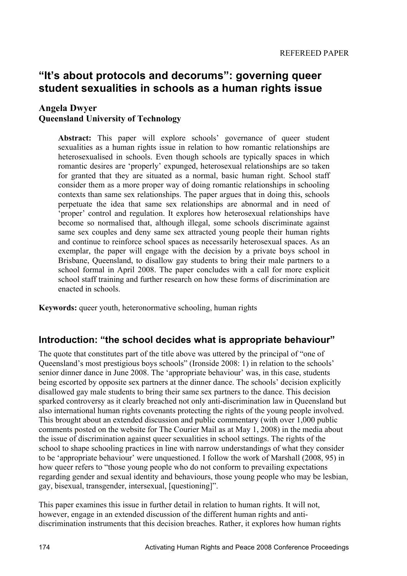# **"It's about protocols and decorums": governing queer student sexualities in schools as a human rights issue**

#### **Angela Dwyer**

#### **Queensland University of Technology**

**Abstract:** This paper will explore schools' governance of queer student sexualities as a human rights issue in relation to how romantic relationships are heterosexualised in schools. Even though schools are typically spaces in which romantic desires are 'properly' expunged, heterosexual relationships are so taken for granted that they are situated as a normal, basic human right. School staff consider them as a more proper way of doing romantic relationships in schooling contexts than same sex relationships. The paper argues that in doing this, schools perpetuate the idea that same sex relationships are abnormal and in need of 'proper' control and regulation. It explores how heterosexual relationships have become so normalised that, although illegal, some schools discriminate against same sex couples and deny same sex attracted young people their human rights and continue to reinforce school spaces as necessarily heterosexual spaces. As an exemplar, the paper will engage with the decision by a private boys school in Brisbane, Queensland, to disallow gay students to bring their male partners to a school formal in April 2008. The paper concludes with a call for more explicit school staff training and further research on how these forms of discrimination are enacted in schools.

**Keywords:** queer youth, heteronormative schooling, human rights

## **Introduction: "the school decides what is appropriate behaviour"**

The quote that constitutes part of the title above was uttered by the principal of "one of Queensland's most prestigious boys schools" (Ironside 2008: 1) in relation to the schools' senior dinner dance in June 2008. The 'appropriate behaviour' was, in this case, students being escorted by opposite sex partners at the dinner dance. The schools' decision explicitly disallowed gay male students to bring their same sex partners to the dance. This decision sparked controversy as it clearly breached not only anti-discrimination law in Queensland but also international human rights covenants protecting the rights of the young people involved. This brought about an extended discussion and public commentary (with over 1,000 public comments posted on the website for The Courier Mail as at May 1, 2008) in the media about the issue of discrimination against queer sexualities in school settings. The rights of the school to shape schooling practices in line with narrow understandings of what they consider to be 'appropriate behaviour' were unquestioned. I follow the work of Marshall (2008, 95) in how queer refers to "those young people who do not conform to prevailing expectations regarding gender and sexual identity and behaviours, those young people who may be lesbian, gay, bisexual, transgender, intersexual, [questioning]".

This paper examines this issue in further detail in relation to human rights. It will not, however, engage in an extended discussion of the different human rights and antidiscrimination instruments that this decision breaches. Rather, it explores how human rights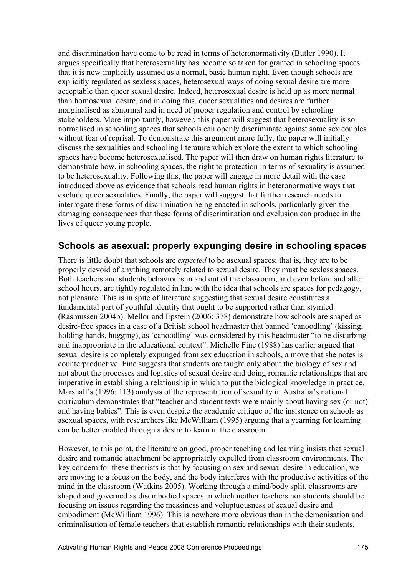and discrimination have come to be read in terms of heteronormativity (Butler 1990). It argues specifically that heterosexuality has become so taken for granted in schooling spaces that it is now implicitly assumed as a normal, basic human right. Even though schools are explicitly regulated as sexless spaces, heterosexual ways of doing sexual desire are more acceptable than queer sexual desire. Indeed, heterosexual desire is held up as more normal than homosexual desire, and in doing this, queer sexualities and desires are further marginalised as abnormal and in need of proper regulation and control by schooling stakeholders. More importantly, however, this paper will suggest that heterosexuality is so normalised in schooling spaces that schools can openly discriminate against same sex couples without fear of reprisal. To demonstrate this argument more fully, the paper will initially discuss the sexualities and schooling literature which explore the extent to which schooling spaces have become heterosexualised. The paper will then draw on human rights literature to demonstrate how, in schooling spaces, the right to protection in terms of sexuality is assumed to be heterosexuality. Following this, the paper will engage in more detail with the case introduced above as evidence that schools read human rights in heteronormative ways that exclude queer sexualities. Finally, the paper will suggest that further research needs to interrogate these forms of discrimination being enacted in schools, particularly given the damaging consequences that these forms of discrimination and exclusion can produce in the lives of queer young people.

## **Schools as asexual: properly expunging desire in schooling spaces**

There is little doubt that schools are *expected* to be asexual spaces; that is, they are to be properly devoid of anything remotely related to sexual desire. They must be sexless spaces. Both teachers and students behaviours in and out of the classroom, and even before and after school hours, are tightly regulated in line with the idea that schools are spaces for pedagogy, not pleasure. This is in spite of literature suggesting that sexual desire constitutes a fundamental part of youthful identity that ought to be supported rather than stymied (Rasmussen 2004b). Mellor and Epstein (2006: 378) demonstrate how schools are shaped as desire-free spaces in a case of a British school headmaster that banned 'canoodling' (kissing, holding hands, hugging), as 'canoodling' was considered by this headmaster "to be disturbing and inappropriate in the educational context". Michelle Fine (1988) has earlier argued that sexual desire is completely expunged from sex education in schools, a move that she notes is counterproductive. Fine suggests that students are taught only about the biology of sex and not about the processes and logistics of sexual desire and doing romantic relationships that are imperative in establishing a relationship in which to put the biological knowledge in practice. Marshall's (1996: 113) analysis of the representation of sexuality in Australia's national curriculum demonstrates that "teacher and student texts were mainly about having sex (or not) and having babies". This is even despite the academic critique of the insistence on schools as asexual spaces, with researchers like McWilliam (1995) arguing that a yearning for learning can be better enabled through a desire to learn in the classroom.

However, to this point, the literature on good, proper teaching and learning insists that sexual desire and romantic attachment be appropriately expelled from classroom environments. The key concern for these theorists is that by focusing on sex and sexual desire in education, we are moving to a focus on the body, and the body interferes with the productive activities of the mind in the classroom (Watkins 2005). Working through a mind/body split, classrooms are shaped and governed as disembodied spaces in which neither teachers nor students should be focusing on issues regarding the messiness and voluptuousness of sexual desire and embodiment (McWilliam 1996). This is nowhere more obvious than in the demonisation and criminalisation of female teachers that establish romantic relationships with their students,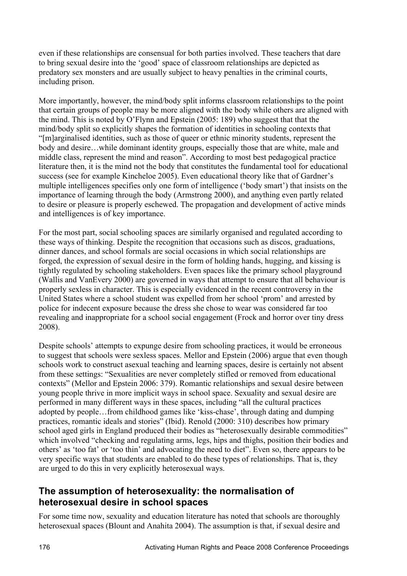even if these relationships are consensual for both parties involved. These teachers that dare to bring sexual desire into the 'good' space of classroom relationships are depicted as predatory sex monsters and are usually subject to heavy penalties in the criminal courts, including prison.

More importantly, however, the mind/body split informs classroom relationships to the point that certain groups of people may be more aligned with the body while others are aligned with the mind. This is noted by O'Flynn and Epstein (2005: 189) who suggest that that the mind/body split so explicitly shapes the formation of identities in schooling contexts that "[m]arginalised identities, such as those of queer or ethnic minority students, represent the body and desire…while dominant identity groups, especially those that are white, male and middle class, represent the mind and reason". According to most best pedagogical practice literature then, it is the mind not the body that constitutes the fundamental tool for educational success (see for example Kincheloe 2005). Even educational theory like that of Gardner's multiple intelligences specifies only one form of intelligence ('body smart') that insists on the importance of learning through the body (Armstrong 2000), and anything even partly related to desire or pleasure is properly eschewed. The propagation and development of active minds and intelligences is of key importance.

For the most part, social schooling spaces are similarly organised and regulated according to these ways of thinking. Despite the recognition that occasions such as discos, graduations, dinner dances, and school formals are social occasions in which social relationships are forged, the expression of sexual desire in the form of holding hands, hugging, and kissing is tightly regulated by schooling stakeholders. Even spaces like the primary school playground (Wallis and VanEvery 2000) are governed in ways that attempt to ensure that all behaviour is properly sexless in character. This is especially evidenced in the recent controversy in the United States where a school student was expelled from her school 'prom' and arrested by police for indecent exposure because the dress she chose to wear was considered far too revealing and inappropriate for a school social engagement (Frock and horror over tiny dress 2008).

Despite schools' attempts to expunge desire from schooling practices, it would be erroneous to suggest that schools were sexless spaces. Mellor and Epstein (2006) argue that even though schools work to construct asexual teaching and learning spaces, desire is certainly not absent from these settings: "Sexualities are never completely stifled or removed from educational contexts" (Mellor and Epstein 2006: 379). Romantic relationships and sexual desire between young people thrive in more implicit ways in school space. Sexuality and sexual desire are performed in many different ways in these spaces, including "all the cultural practices adopted by people…from childhood games like 'kiss-chase', through dating and dumping practices, romantic ideals and stories" (Ibid). Renold (2000: 310) describes how primary school aged girls in England produced their bodies as "heterosexually desirable commodities" which involved "checking and regulating arms, legs, hips and thighs, position their bodies and others' as 'too fat' or 'too thin' and advocating the need to diet". Even so, there appears to be very specific ways that students are enabled to do these types of relationships. That is, they are urged to do this in very explicitly heterosexual ways.

## **The assumption of heterosexuality: the normalisation of heterosexual desire in school spaces**

For some time now, sexuality and education literature has noted that schools are thoroughly heterosexual spaces (Blount and Anahita 2004). The assumption is that, if sexual desire and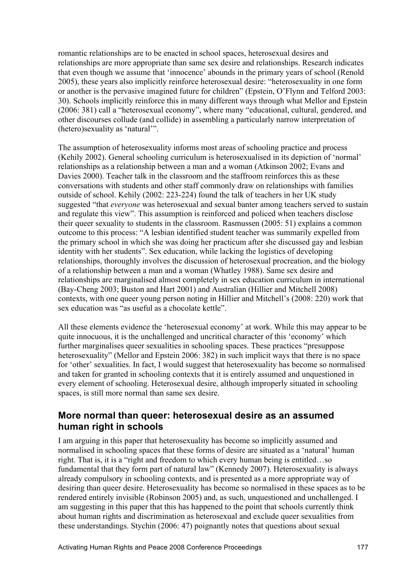romantic relationships are to be enacted in school spaces, heterosexual desires and relationships are more appropriate than same sex desire and relationships. Research indicates that even though we assume that 'innocence' abounds in the primary years of school (Renold 2005), these years also implicitly reinforce heterosexual desire: "heterosexuality in one form or another is the pervasive imagined future for children" (Epstein, O'Flynn and Telford 2003: 30). Schools implicitly reinforce this in many different ways through what Mellor and Epstein (2006: 381) call a "heterosexual economy", where many "educational, cultural, gendered, and other discourses collude (and collide) in assembling a particularly narrow interpretation of (hetero)sexuality as 'natural'".

The assumption of heterosexuality informs most areas of schooling practice and process (Kehily 2002). General schooling curriculum is heterosexualised in its depiction of 'normal' relationships as a relationship between a man and a woman (Atkinson 2002; Evans and Davies 2000). Teacher talk in the classroom and the staffroom reinforces this as these conversations with students and other staff commonly draw on relationships with families outside of school. Kehily (2002: 223-224) found the talk of teachers in her UK study suggested "that *everyone* was heterosexual and sexual banter among teachers served to sustain and regulate this view". This assumption is reinforced and policed when teachers disclose their queer sexuality to students in the classroom. Rasmussen (2005: 51) explains a common outcome to this process: "A lesbian identified student teacher was summarily expelled from the primary school in which she was doing her practicum after she discussed gay and lesbian identity with her students". Sex education, while lacking the logistics of developing relationships, thoroughly involves the discussion of heterosexual procreation, and the biology of a relationship between a man and a woman (Whatley 1988). Same sex desire and relationships are marginalised almost completely in sex education curriculum in international (Bay-Cheng 2003; Buston and Hart 2001) and Australian (Hillier and Mitchell 2008) contexts, with one queer young person noting in Hillier and Mitchell's (2008: 220) work that sex education was "as useful as a chocolate kettle".

All these elements evidence the 'heterosexual economy' at work. While this may appear to be quite innocuous, it is the unchallenged and uncritical character of this 'economy' which further marginalises queer sexualities in schooling spaces. These practices "presuppose heterosexuality" (Mellor and Epstein 2006: 382) in such implicit ways that there is no space for 'other' sexualities. In fact, I would suggest that heterosexuality has become so normalised and taken for granted in schooling contexts that it is entirely assumed and unquestioned in every element of schooling. Heterosexual desire, although improperly situated in schooling spaces, is still more normal than same sex desire.

## **More normal than queer: heterosexual desire as an assumed human right in schools**

I am arguing in this paper that heterosexuality has become so implicitly assumed and normalised in schooling spaces that these forms of desire are situated as a 'natural' human right. That is, it is a "right and freedom to which every human being is entitled…so fundamental that they form part of natural law" (Kennedy 2007). Heterosexuality is always already compulsory in schooling contexts, and is presented as a more appropriate way of desiring than queer desire. Heterosexuality has become so normalised in these spaces as to be rendered entirely invisible (Robinson 2005) and, as such, unquestioned and unchallenged. I am suggesting in this paper that this has happened to the point that schools currently think about human rights and discrimination as heterosexual and exclude queer sexualities from these understandings. Stychin (2006: 47) poignantly notes that questions about sexual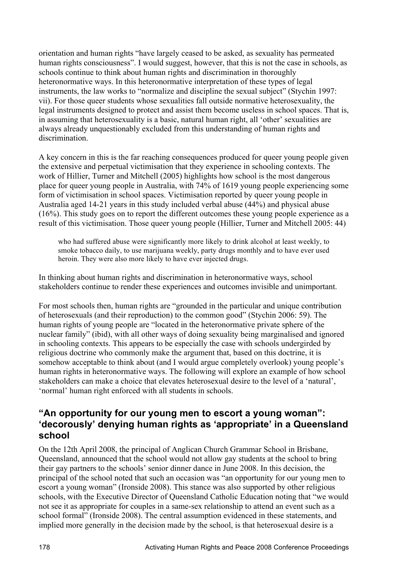orientation and human rights "have largely ceased to be asked, as sexuality has permeated human rights consciousness". I would suggest, however, that this is not the case in schools, as schools continue to think about human rights and discrimination in thoroughly heteronormative ways. In this heteronormative interpretation of these types of legal instruments, the law works to "normalize and discipline the sexual subject" (Stychin 1997: vii). For those queer students whose sexualities fall outside normative heterosexuality, the legal instruments designed to protect and assist them become useless in school spaces. That is, in assuming that heterosexuality is a basic, natural human right, all 'other' sexualities are always already unquestionably excluded from this understanding of human rights and discrimination.

A key concern in this is the far reaching consequences produced for queer young people given the extensive and perpetual victimisation that they experience in schooling contexts. The work of Hillier, Turner and Mitchell (2005) highlights how school is the most dangerous place for queer young people in Australia, with 74% of 1619 young people experiencing some form of victimisation in school spaces. Victimisation reported by queer young people in Australia aged 14-21 years in this study included verbal abuse (44%) and physical abuse (16%). This study goes on to report the different outcomes these young people experience as a result of this victimisation. Those queer young people (Hillier, Turner and Mitchell 2005: 44)

who had suffered abuse were significantly more likely to drink alcohol at least weekly, to smoke tobacco daily, to use marijuana weekly, party drugs monthly and to have ever used heroin. They were also more likely to have ever injected drugs.

In thinking about human rights and discrimination in heteronormative ways, school stakeholders continue to render these experiences and outcomes invisible and unimportant.

For most schools then, human rights are "grounded in the particular and unique contribution of heterosexuals (and their reproduction) to the common good" (Stychin 2006: 59). The human rights of young people are "located in the heteronormative private sphere of the nuclear family" (ibid), with all other ways of doing sexuality being marginalised and ignored in schooling contexts. This appears to be especially the case with schools undergirded by religious doctrine who commonly make the argument that, based on this doctrine, it is somehow acceptable to think about (and I would argue completely overlook) young people's human rights in heteronormative ways. The following will explore an example of how school stakeholders can make a choice that elevates heterosexual desire to the level of a 'natural', 'normal' human right enforced with all students in schools.

## **"An opportunity for our young men to escort a young woman": 'decorously' denying human rights as 'appropriate' in a Queensland school**

On the 12th April 2008, the principal of Anglican Church Grammar School in Brisbane, Queensland, announced that the school would not allow gay students at the school to bring their gay partners to the schools' senior dinner dance in June 2008. In this decision, the principal of the school noted that such an occasion was "an opportunity for our young men to escort a young woman" (Ironside 2008). This stance was also supported by other religious schools, with the Executive Director of Queensland Catholic Education noting that "we would not see it as appropriate for couples in a same-sex relationship to attend an event such as a school formal" (Ironside 2008). The central assumption evidenced in these statements, and implied more generally in the decision made by the school, is that heterosexual desire is a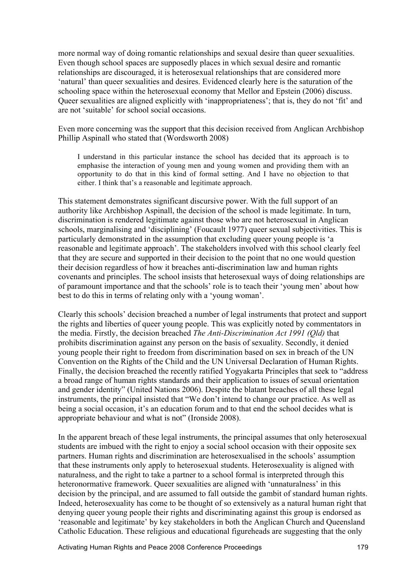more normal way of doing romantic relationships and sexual desire than queer sexualities. Even though school spaces are supposedly places in which sexual desire and romantic relationships are discouraged, it is heterosexual relationships that are considered more 'natural' than queer sexualities and desires. Evidenced clearly here is the saturation of the schooling space within the heterosexual economy that Mellor and Epstein (2006) discuss. Queer sexualities are aligned explicitly with 'inappropriateness'; that is, they do not 'fit' and are not 'suitable' for school social occasions.

Even more concerning was the support that this decision received from Anglican Archbishop Phillip Aspinall who stated that (Wordsworth 2008)

I understand in this particular instance the school has decided that its approach is to emphasise the interaction of young men and young women and providing them with an opportunity to do that in this kind of formal setting. And I have no objection to that either. I think that's a reasonable and legitimate approach.

This statement demonstrates significant discursive power. With the full support of an authority like Archbishop Aspinall, the decision of the school is made legitimate. In turn, discrimination is rendered legitimate against those who are not heterosexual in Anglican schools, marginalising and 'disciplining' (Foucault 1977) queer sexual subjectivities. This is particularly demonstrated in the assumption that excluding queer young people is 'a reasonable and legitimate approach'. The stakeholders involved with this school clearly feel that they are secure and supported in their decision to the point that no one would question their decision regardless of how it breaches anti-discrimination law and human rights covenants and principles. The school insists that heterosexual ways of doing relationships are of paramount importance and that the schools' role is to teach their 'young men' about how best to do this in terms of relating only with a 'young woman'.

Clearly this schools' decision breached a number of legal instruments that protect and support the rights and liberties of queer young people. This was explicitly noted by commentators in the media. Firstly, the decision breached *The Anti-Discrimination Act 1991 (Qld)* that prohibits discrimination against any person on the basis of sexuality. Secondly, it denied young people their right to freedom from discrimination based on sex in breach of the UN Convention on the Rights of the Child and the UN Universal Declaration of Human Rights. Finally, the decision breached the recently ratified Yogyakarta Principles that seek to "address a broad range of human rights standards and their application to issues of sexual orientation and gender identity" (United Nations 2006). Despite the blatant breaches of all these legal instruments, the principal insisted that "We don't intend to change our practice. As well as being a social occasion, it's an education forum and to that end the school decides what is appropriate behaviour and what is not" (Ironside 2008).

In the apparent breach of these legal instruments, the principal assumes that only heterosexual students are imbued with the right to enjoy a social school occasion with their opposite sex partners. Human rights and discrimination are heterosexualised in the schools' assumption that these instruments only apply to heterosexual students. Heterosexuality is aligned with naturalness, and the right to take a partner to a school formal is interpreted through this heteronormative framework. Queer sexualities are aligned with 'unnaturalness' in this decision by the principal, and are assumed to fall outside the gambit of standard human rights. Indeed, heterosexuality has come to be thought of so extensively as a natural human right that denying queer young people their rights and discriminating against this group is endorsed as 'reasonable and legitimate' by key stakeholders in both the Anglican Church and Queensland Catholic Education. These religious and educational figureheads are suggesting that the only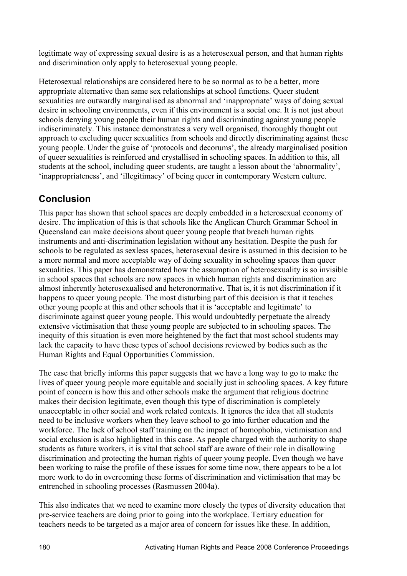legitimate way of expressing sexual desire is as a heterosexual person, and that human rights and discrimination only apply to heterosexual young people.

Heterosexual relationships are considered here to be so normal as to be a better, more appropriate alternative than same sex relationships at school functions. Queer student sexualities are outwardly marginalised as abnormal and 'inappropriate' ways of doing sexual desire in schooling environments, even if this environment is a social one. It is not just about schools denying young people their human rights and discriminating against young people indiscriminately. This instance demonstrates a very well organised, thoroughly thought out approach to excluding queer sexualities from schools and directly discriminating against these young people. Under the guise of 'protocols and decorums', the already marginalised position of queer sexualities is reinforced and crystallised in schooling spaces. In addition to this, all students at the school, including queer students, are taught a lesson about the 'abnormality', 'inappropriateness', and 'illegitimacy' of being queer in contemporary Western culture.

## **Conclusion**

This paper has shown that school spaces are deeply embedded in a heterosexual economy of desire. The implication of this is that schools like the Anglican Church Grammar School in Queensland can make decisions about queer young people that breach human rights instruments and anti-discrimination legislation without any hesitation. Despite the push for schools to be regulated as sexless spaces, heterosexual desire is assumed in this decision to be a more normal and more acceptable way of doing sexuality in schooling spaces than queer sexualities. This paper has demonstrated how the assumption of heterosexuality is so invisible in school spaces that schools are now spaces in which human rights and discrimination are almost inherently heterosexualised and heteronormative. That is, it is not discrimination if it happens to queer young people. The most disturbing part of this decision is that it teaches other young people at this and other schools that it is 'acceptable and legitimate' to discriminate against queer young people. This would undoubtedly perpetuate the already extensive victimisation that these young people are subjected to in schooling spaces. The inequity of this situation is even more heightened by the fact that most school students may lack the capacity to have these types of school decisions reviewed by bodies such as the Human Rights and Equal Opportunities Commission.

The case that briefly informs this paper suggests that we have a long way to go to make the lives of queer young people more equitable and socially just in schooling spaces. A key future point of concern is how this and other schools make the argument that religious doctrine makes their decision legitimate, even though this type of discrimination is completely unacceptable in other social and work related contexts. It ignores the idea that all students need to be inclusive workers when they leave school to go into further education and the workforce. The lack of school staff training on the impact of homophobia, victimisation and social exclusion is also highlighted in this case. As people charged with the authority to shape students as future workers, it is vital that school staff are aware of their role in disallowing discrimination and protecting the human rights of queer young people. Even though we have been working to raise the profile of these issues for some time now, there appears to be a lot more work to do in overcoming these forms of discrimination and victimisation that may be entrenched in schooling processes (Rasmussen 2004a).

This also indicates that we need to examine more closely the types of diversity education that pre-service teachers are doing prior to going into the workplace. Tertiary education for teachers needs to be targeted as a major area of concern for issues like these. In addition,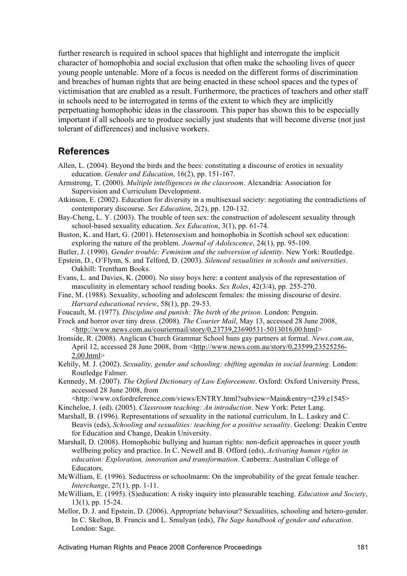further research is required in school spaces that highlight and interrogate the implicit character of homophobia and social exclusion that often make the schooling lives of queer young people untenable. More of a focus is needed on the different forms of discrimination and breaches of human rights that are being enacted in these school spaces and the types of victimisation that are enabled as a result. Furthermore, the practices of teachers and other staff in schools need to be interrogated in terms of the extent to which they are implicitly perpetuating homophobic ideas in the classroom. This paper has shown this to be especially important if all schools are to produce socially just students that will become diverse (not just tolerant of differences) and inclusive workers.

#### **References**

- Allen, L. (2004). Beyond the birds and the bees: constituting a discourse of erotics in sexuality education. *Gender and Education*, 16(2), pp. 151-167.
- Armstrong, T. (2000). *Multiple intelligences in the classroom*. Alexandria: Association for Supervision and Curriculum Development.
- Atkinson, E. (2002). Education for diversity in a multisexual society: negotiating the contradictions of contemporary discourse. *Sex Education*, 2(2), pp. 120-132.
- Bay-Cheng, L. Y. (2003). The trouble of teen sex: the construction of adolescent sexuality through school-based sexuality education. *Sex Education*, 3(1), pp. 61-74.
- Buston, K. and Hart, G. (2001). Heterosexism and homophobia in Scottish school sex education: exploring the nature of the problem. *Journal of Adolescence*, 24(1), pp. 95-109.

Butler, J. (1990). *Gender trouble: Feminism and the subversion of identity*. New York: Routledge.

- Epstein, D., O'Flynn, S. and Telford, D. (2003). *Silenced sexualities in schools and universities*. Oakhill: Trentham Books.
- Evans, L. and Davies, K. (2000). No sissy boys here: a content analysis of the representation of masculinity in elementary school reading books. *Sex Roles*, 42(3/4), pp. 255-270.
- Fine, M. (1988). Sexuality, schooling and adolescent females: the missing discourse of desire. *Harvard educational review*, 58(1), pp. 29-53.
- Foucault, M. (1977). *Discipline and punish: The birth of the prison*. London: Penguin.
- Frock and horror over tiny dress. (2008). *The Courier Mail*, May 13, accessed 28 June 2008, <http://www.news.com.au/couriermail/story/0,23739,23690531-5013016,00.html>
- Ironside, R. (2008). Anglican Church Grammar School bans gay partners at formal. *News.com.au*, April 12, accessed 28 June 2008, from <http://www.news.com.au/story/0,23599,23525256-2,00.html>
- Kehily, M. J. (2002). *Sexuality, gender and schooling: shifting agendas in social learning*. London: Routledge Falmer.
- Kennedy, M. (2007). *The Oxford Dictionary of Law Enforcement*. Oxford: Oxford University Press, accessed 28 June 2008, from
- <http://www.oxfordreference.com/views/ENTRY.html?subview=Main&entry=t239.e1545> Kincheloe, J. (ed). (2005). *Classroom teaching: An introduction*. New York: Peter Lang.
- Marshall, B. (1996). Representations of sexuality in the national curriculum. In L. Laskey and C. Beavis (eds), *Schooling and sexualities: teaching for a positive sexuality*. Geelong: Deakin Centre for Education and Change, Deakin University.
- Marshall, D. (2008). Homophobic bullying and human rights: non-deficit approaches in queer youth wellbeing policy and practice. In C. Newell and B. Offord (eds), *Activating human rights in education: Exploration, innovation and transformation*. Canberra: Australian College of Educators.
- McWilliam, E. (1996). Seductress or schoolmarm: On the improbability of the great female teacher. *Interchange*, 27(1), pp. 1-11.
- McWilliam, E. (1995). (S)education: A risky inquiry into pleasurable teaching. *Education and Society*, 13(1), pp. 15-24.
- Mellor, D. J. and Epstein, D. (2006). Appropriate behaviour? Sexualities, schooling and hetero-gender. In C. Skelton, B. Francis and L. Smulyan (eds), *The Sage handbook of gender and education*. London: Sage.